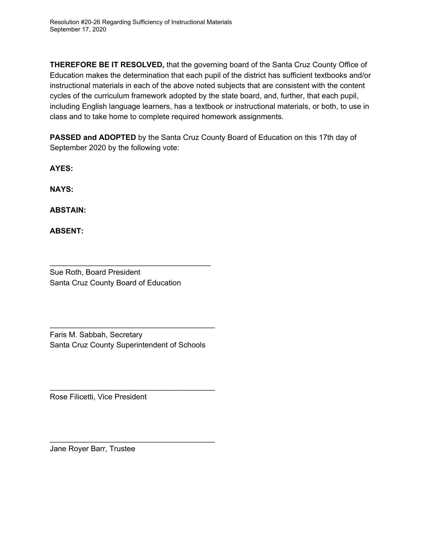**THEREFORE BE IT RESOLVED,** that the governing board of the Santa Cruz County Office of Education makes the determination that each pupil of the district has sufficient textbooks and/or instructional materials in each of the above noted subjects that are consistent with the content cycles of the curriculum framework adopted by the state board, and, further, that each pupil, including English language learners, has a textbook or instructional materials, or both, to use in class and to take home to complete required homework assignments.

**PASSED and ADOPTED** by the Santa Cruz County Board of Education on this 17th day of September 2020 by the following vote:

**AYES:**

**NAYS:**

**ABSTAIN:**

**ABSENT:**

 $\chi_{\text{data}}$  forthe

Sue Roth, Board President Santa Cruz County Board of Education

 $\frac{1}{2}$ 

Faris M. Sabbah, Secretary Santa Cruz County Superintendent of Schools

 $\mu_{\text{max}}$ 

Rose Filicetti, Vice President

 $m_{\mu\nu}$  and  $\mu_{\nu\mu}$ 

1e Royer Barr, Trustee